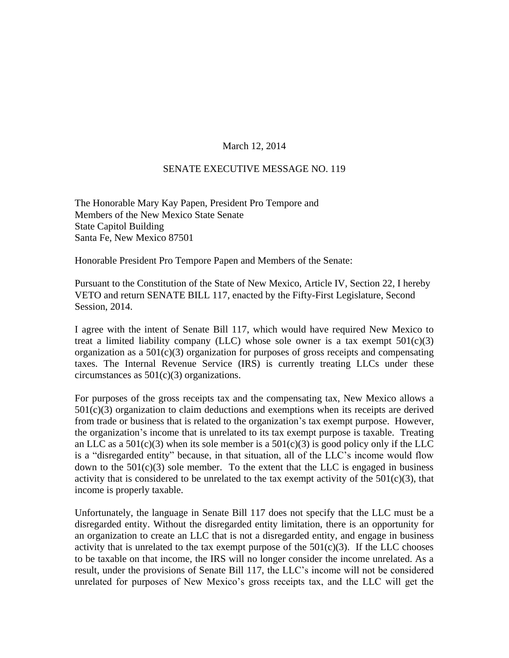## March 12, 2014

## SENATE EXECUTIVE MESSAGE NO. 119

The Honorable Mary Kay Papen, President Pro Tempore and Members of the New Mexico State Senate State Capitol Building Santa Fe, New Mexico 87501

Honorable President Pro Tempore Papen and Members of the Senate:

Pursuant to the Constitution of the State of New Mexico, Article IV, Section 22, I hereby VETO and return SENATE BILL 117, enacted by the Fifty-First Legislature, Second Session, 2014.

I agree with the intent of Senate Bill 117, which would have required New Mexico to treat a limited liability company (LLC) whose sole owner is a tax exempt  $501(c)(3)$ organization as a  $501(c)(3)$  organization for purposes of gross receipts and compensating taxes. The Internal Revenue Service (IRS) is currently treating LLCs under these circumstances as  $501(c)(3)$  organizations.

For purposes of the gross receipts tax and the compensating tax, New Mexico allows a  $501(c)(3)$  organization to claim deductions and exemptions when its receipts are derived from trade or business that is related to the organization's tax exempt purpose. However, the organization's income that is unrelated to its tax exempt purpose is taxable. Treating an LLC as a  $501(c)(3)$  when its sole member is a  $501(c)(3)$  is good policy only if the LLC is a "disregarded entity" because, in that situation, all of the LLC's income would flow down to the  $501(c)(3)$  sole member. To the extent that the LLC is engaged in business activity that is considered to be unrelated to the tax exempt activity of the  $501(c)(3)$ , that income is properly taxable.

Unfortunately, the language in Senate Bill 117 does not specify that the LLC must be a disregarded entity. Without the disregarded entity limitation, there is an opportunity for an organization to create an LLC that is not a disregarded entity, and engage in business activity that is unrelated to the tax exempt purpose of the  $501(c)(3)$ . If the LLC chooses to be taxable on that income, the IRS will no longer consider the income unrelated. As a result, under the provisions of Senate Bill 117, the LLC's income will not be considered unrelated for purposes of New Mexico's gross receipts tax, and the LLC will get the